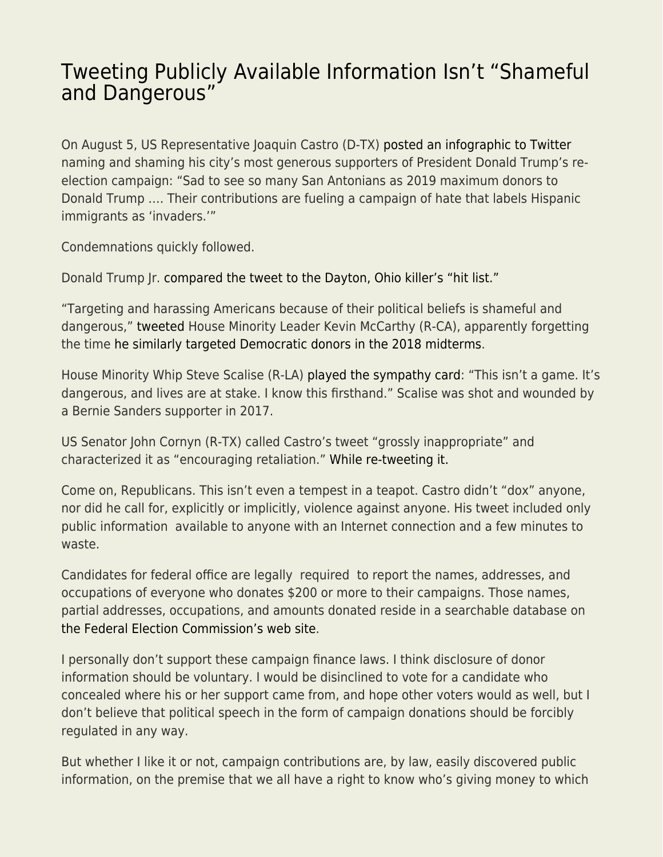## [Tweeting Publicly Available Information Isn't "Shameful](https://everything-voluntary.com/tweeting-publicly-available-information-isnt-shameful-and-dangerous) [and Dangerous"](https://everything-voluntary.com/tweeting-publicly-available-information-isnt-shameful-and-dangerous)

On August 5, US Representative Joaquin Castro (D-TX) [posted an infographic to Twitter](https://twitter.com/Castro4Congress/status/1158576680182718464) naming and shaming his city's most generous supporters of President Donald Trump's reelection campaign: "Sad to see so many San Antonians as 2019 maximum donors to Donald Trump …. Their contributions are fueling a campaign of hate that labels Hispanic immigrants as 'invaders.'"

Condemnations quickly followed.

Donald Trump Jr. [compared the tweet to the Dayton, Ohio killer's "hit list."](https://www.thedailybeast.com/donald-trump-jr-compares-joaquin-castros-donor-tweet-to-dayton-shooters-hit-list)

"Targeting and harassing Americans because of their political beliefs is shameful and dangerous," [tweeted](https://twitter.com/kevinomccarthy/status/1158840773435154433) House Minority Leader Kevin McCarthy (R-CA), apparently forgetting the time [he similarly targeted Democratic donors in the 2018 midterms.](https://www.haaretz.com/us-news/.premium-trump-didn-t-pull-the-trigger-in-pittsburgh-but-he-prepped-the-shooter-1.6595902)

House Minority Whip Steve Scalise (R-LA) [played the sympathy card:](https://twitter.com/SteveScalise/status/1158842579775086593) "This isn't a game. It's dangerous, and lives are at stake. I know this firsthand." Scalise was shot and wounded by a Bernie Sanders supporter in 2017.

US Senator John Cornyn (R-TX) called Castro's tweet "grossly inappropriate" and characterized it as "encouraging retaliation." [While re-tweeting it.](https://twitter.com/JohnCornyn/status/1158851289016651776)

Come on, Republicans. This isn't even a tempest in a teapot. Castro didn't "dox" anyone, nor did he call for, explicitly or implicitly, violence against anyone. His tweet included only public information available to anyone with an Internet connection and a few minutes to waste.

Candidates for federal office are legally required to report the names, addresses, and occupations of everyone who donates \$200 or more to their campaigns. Those names, partial addresses, occupations, and amounts donated reside in a searchable database on [the Federal Election Commission's web site.](https://www.fec.gov/)

I personally don't support these campaign finance laws. I think disclosure of donor information should be voluntary. I would be disinclined to vote for a candidate who concealed where his or her support came from, and hope other voters would as well, but I don't believe that political speech in the form of campaign donations should be forcibly regulated in any way.

But whether I like it or not, campaign contributions are, by law, easily discovered public information, on the premise that we all have a right to know who's giving money to which